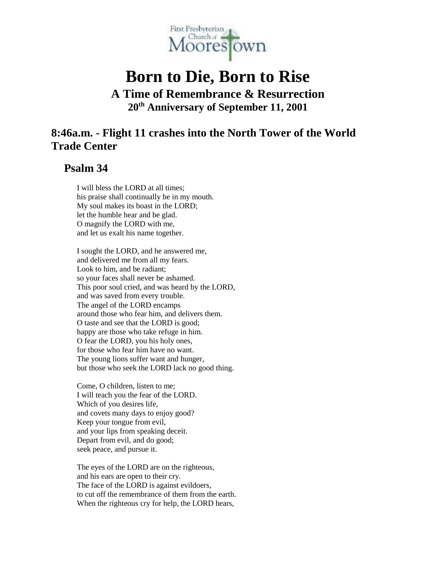

# **Born to Die, Born to Rise**

# **A Time of Remembrance & Resurrection 20th Anniversary of September 11, 2001**

## **8:46a.m. - Flight 11 crashes into the North Tower of the World Trade Center**

#### **Psalm 34**

I will bless the LORD at all times; his praise shall continually be in my mouth. My soul makes its boast in the LORD; let the humble hear and be glad. O magnify the LORD with me, and let us exalt his name together.

I sought the LORD, and he answered me, and delivered me from all my fears. Look to him, and be radiant; so your faces shall never be ashamed. This poor soul cried, and was heard by the LORD, and was saved from every trouble. The angel of the LORD encamps around those who fear him, and delivers them. O taste and see that the LORD is good; happy are those who take refuge in him. O fear the LORD, you his holy ones, for those who fear him have no want. The young lions suffer want and hunger, but those who seek the LORD lack no good thing.

Come, O children, listen to me; I will teach you the fear of the LORD. Which of you desires life, and covets many days to enjoy good? Keep your tongue from evil, and your lips from speaking deceit. Depart from evil, and do good; seek peace, and pursue it.

The eyes of the LORD are on the righteous, and his ears are open to their cry. The face of the LORD is against evildoers, to cut off the remembrance of them from the earth. When the righteous cry for help, the LORD hears,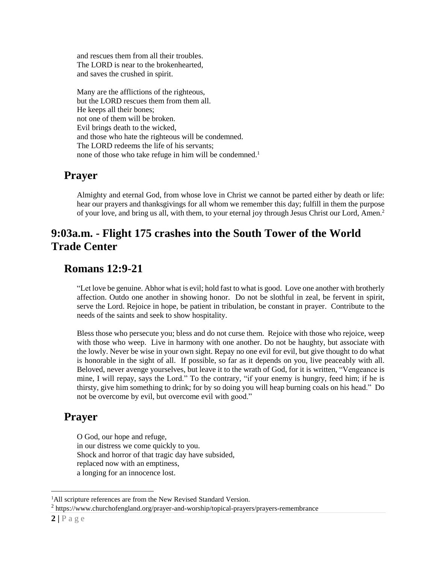and rescues them from all their troubles. The LORD is near to the brokenhearted, and saves the crushed in spirit.

Many are the afflictions of the righteous, but the LORD rescues them from them all. He keeps all their bones; not one of them will be broken. Evil brings death to the wicked, and those who hate the righteous will be condemned. The LORD redeems the life of his servants; none of those who take refuge in him will be condemned.<sup>1</sup>

#### **Prayer**

Almighty and eternal God, from whose love in Christ we cannot be parted either by death or life: hear our prayers and thanksgivings for all whom we remember this day; fulfill in them the purpose of your love, and bring us all, with them, to your eternal joy through Jesus Christ our Lord, Amen.<sup>2</sup>

# **9:03a.m. - Flight 175 crashes into the South Tower of the World Trade Center**

#### **Romans 12:9-21**

"Let love be genuine. Abhor what is evil; hold fast to what is good. Love one another with brotherly affection. Outdo one another in showing honor. Do not be slothful in zeal, be fervent in spirit, serve the Lord. Rejoice in hope, be patient in tribulation, be constant in prayer. Contribute to the needs of the saints and seek to show hospitality.

Bless those who persecute you; bless and do not curse them. Rejoice with those who rejoice, weep with those who weep. Live in harmony with one another. Do not be haughty, but associate with the lowly. Never be wise in your own sight. Repay no one evil for evil, but give thought to do what is honorable in the sight of all. If possible, so far as it depends on you, live peaceably with all. Beloved, never avenge yourselves, but leave it to the wrath of God, for it is written, "Vengeance is mine, I will repay, says the Lord." To the contrary, "if your enemy is hungry, feed him; if he is thirsty, give him something to drink; for by so doing you will heap burning coals on his head." Do not be overcome by evil, but overcome evil with good."

## **Prayer**

O God, our hope and refuge, in our distress we come quickly to you. Shock and horror of that tragic day have subsided, replaced now with an emptiness, a longing for an innocence lost.

<sup>&</sup>lt;sup>1</sup>All scripture references are from the New Revised Standard Version.

<sup>&</sup>lt;sup>2</sup> https://www.churchofengland.org/prayer-and-worship/topical-prayers/prayers-remembrance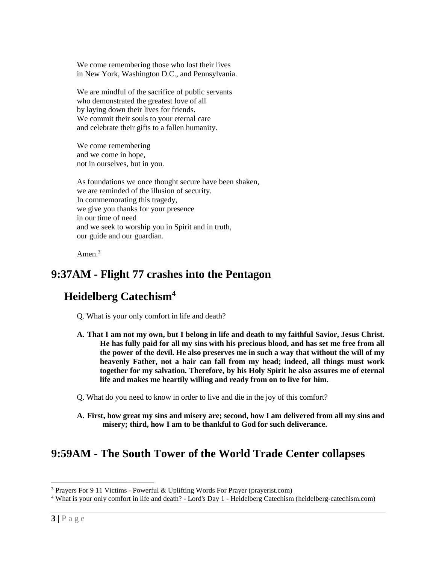We come remembering those who lost their lives in New York, Washington D.C., and Pennsylvania.

We are mindful of the sacrifice of public servants who demonstrated the greatest love of all by laying down their lives for friends. We commit their souls to your eternal care and celebrate their gifts to a fallen humanity.

We come remembering and we come in hope, not in ourselves, but in you.

As foundations we once thought secure have been shaken, we are reminded of the illusion of security. In commemorating this tragedy, we give you thanks for your presence in our time of need and we seek to worship you in Spirit and in truth, our guide and our guardian.

Amen $^3$ 

#### **9:37AM - Flight 77 crashes into the Pentagon**

## **Heidelberg Catechism<sup>4</sup>**

Q. What is your only comfort in life and death?

- A. That I am not my own, but I belong in life and death to my faithful Savior, Jesus Christ. **He has fully paid for all my sins with his precious blood, and has set me free from all the power of the devil. He also preserves me in such a way that without the will of my heavenly Father, not a hair can fall from my head; indeed, all things must work together for my salvation. Therefore, by his Holy Spirit he also assures me of eternal life and makes me heartily willing and ready from on to live for him.**
- Q. What do you need to know in order to live and die in the joy of this comfort?
- **A. First, how great my sins and misery are; second, how I am delivered from all my sins and misery; third, how I am to be thankful to God for such deliverance.**

# **9:59AM - The South Tower of the World Trade Center collapses**

<sup>&</sup>lt;sup>3</sup> Prayers For 9 11 Victims - Powerful & Uplifting Words For Prayer [\(prayerist.com\)](https://prayerist.com/prayer/911victims.html)

<sup>4</sup> What is your only comfort in life and death? - Lord's Day 1 - Heidelberg Catechism [\(heidelberg-catechism.com\)](http://www.heidelberg-catechism.com/en/lords-days/1.html)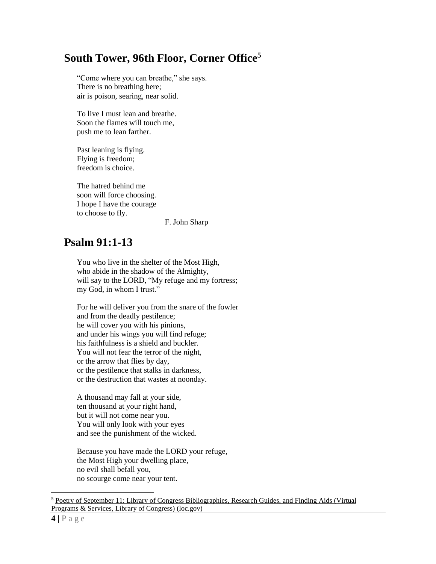# **South Tower, 96th Floor, Corner Office<sup>5</sup>**

"Come where you can breathe," she says. There is no breathing here; air is poison, searing, near solid.

To live I must lean and breathe. Soon the flames will touch me, push me to lean farther.

Past leaning is flying. Flying is freedom; freedom is choice.

The hatred behind me soon will force choosing. I hope I have the courage to choose to fly.

F. John Sharp

#### **Psalm 91:1-13**

You who live in the shelter of the Most High, who abide in the shadow of the Almighty, will say to the LORD, "My refuge and my fortress; my God, in whom I trust."

For he will deliver you from the snare of the fowler and from the deadly pestilence; he will cover you with his pinions, and under his wings you will find refuge; his faithfulness is a shield and buckler. You will not fear the terror of the night, or the arrow that flies by day, or the pestilence that stalks in darkness, or the destruction that wastes at noonday.

A thousand may fall at your side, ten thousand at your right hand, but it will not come near you. You will only look with your eyes and see the punishment of the wicked.

Because you have made the LORD your refuge, the Most High your dwelling place, no evil shall befall you, no scourge come near your tent.

<sup>5</sup> Poetry of September 11: Library of Congress [Bibliographies,](https://www.loc.gov/rr/program/bib/911poetry/) Research Guides, and Finding Aids (Virtual Programs & Services, Library of [Congress\)](https://www.loc.gov/rr/program/bib/911poetry/) (loc.gov)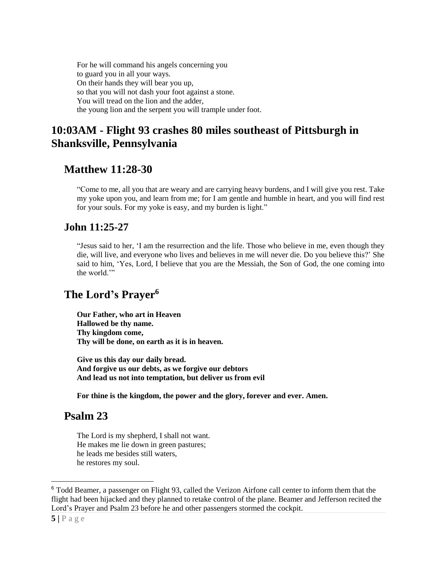For he will command his angels concerning you to guard you in all your ways. On their hands they will bear you up, so that you will not dash your foot against a stone. You will tread on the lion and the adder, the young lion and the serpent you will trample under foot.

## **10:03AM - Flight 93 crashes 80 miles southeast of Pittsburgh in Shanksville, Pennsylvania**

#### **Matthew 11:28-30**

"Come to me, all you that are weary and are carrying heavy burdens, and I will give you rest. Take my yoke upon you, and learn from me; for I am gentle and humble in heart, and you will find rest for your souls. For my yoke is easy, and my burden is light."

#### **John 11:25-27**

"Jesus said to her, 'I am the resurrection and the life. Those who believe in me, even though they die, will live, and everyone who lives and believes in me will never die. Do you believe this?' She said to him, 'Yes, Lord, I believe that you are the Messiah, the Son of God, the one coming into the world."

#### **The Lord's Prayer<sup>6</sup>**

**Our Father, who art in Heaven Hallowed be thy name. Thy kingdom come, Thy will be done, on earth as it is in heaven.**

**Give us this day our daily bread. And forgive us our debts, as we forgive our debtors And lead us not into temptation, but deliver us from evil**

**For thine is the kingdom, the power and the glory, forever and ever. Amen.**

#### **Psalm 23**

The Lord is my shepherd, I shall not want. He makes me lie down in green pastures; he leads me besides still waters, he restores my soul.

<sup>6</sup> Todd Beamer, a passenger on Flight 93, called the Verizon Airfone call center to inform them that the flight had been hijacked and they planned to retake control of the plane. Beamer and Jefferson recited the Lord's Prayer and Psalm 23 before he and other passengers stormed the cockpit.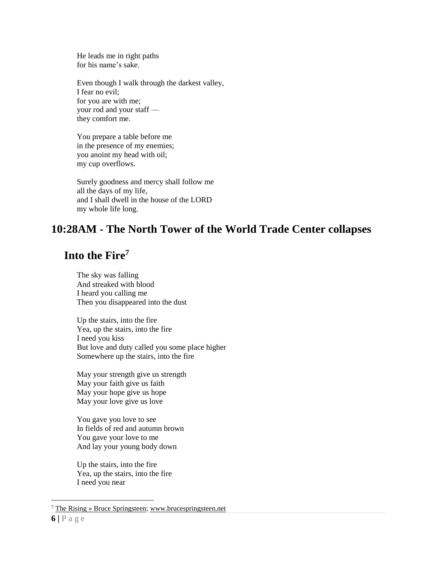He leads me in right paths for his name's sake.

Even though I walk through the darkest valley, I fear no evil; for you are with me; your rod and your staff they comfort me.

You prepare a table before me in the presence of my enemies; you anoint my head with oil; my cup overflows.

Surely goodness and mercy shall follow me all the days of my life, and I shall dwell in the house of the LORD my whole life long.

# **10:28AM - The North Tower of the World Trade Center collapses**

# **Into the Fire<sup>7</sup>**

The sky was falling And streaked with blood I heard you calling me Then you disappeared into the dust

Up the stairs, into the fire Yea, up the stairs, into the fire I need you kiss But love and duty called you some place higher Somewhere up the stairs, into the fire

May your strength give us strength May your faith give us faith May your hope give us hope May your love give us love

You gave you love to see In fields of red and autumn brown You gave your love to me And lay your young body down

Up the stairs, into the fire Yea, up the stairs, into the fire I need you near

<sup>7</sup> The Rising » Bruce [Springsteen;](https://brucespringsteen.net/albums/the-rising) [www.brucespringsteen.net](http://www.brucespringsteen.net/)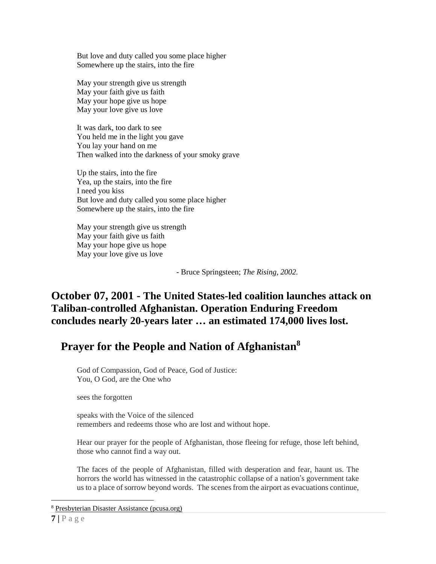But love and duty called you some place higher Somewhere up the stairs, into the fire

May your strength give us strength May your faith give us faith May your hope give us hope May your love give us love

It was dark, too dark to see You held me in the light you gave You lay your hand on me Then walked into the darkness of your smoky grave

Up the stairs, into the fire Yea, up the stairs, into the fire I need you kiss But love and duty called you some place higher Somewhere up the stairs, into the fire

May your strength give us strength May your faith give us faith May your hope give us hope May your love give us love

- Bruce Springsteen; *The Rising, 2002.*

#### **October 07, 2001 - The United States-led coalition launches attack on Taliban-controlled Afghanistan. Operation Enduring Freedom concludes nearly 20-years later … an estimated 174,000 lives lost.**

# **Prayer for the People and Nation of Afghanistan<sup>8</sup>**

God of Compassion, God of Peace, God of Justice: You, O God, are the One who

sees the forgotten

speaks with the Voice of the silenced remembers and redeems those who are lost and without hope.

Hear our prayer for the people of Afghanistan, those fleeing for refuge, those left behind, those who cannot find a way out.

The faces of the people of Afghanistan, filled with desperation and fear, haunt us. The horrors the world has witnessed in the catastrophic collapse of a nation's government take us to a place of sorrow beyond words. The scenesfrom the airport as evacuations continue,

<sup>8</sup> [Presbyterian](https://pda.pcusa.org/pda/resource/prayer-afghanistan/) Disaster Assistance (pcusa.org)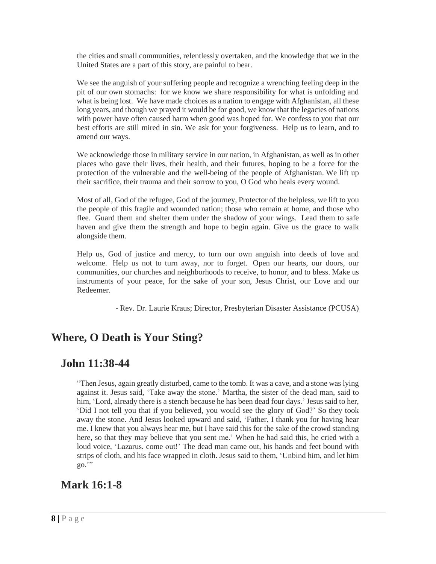the cities and small communities, relentlessly overtaken, and the knowledge that we in the United States are a part of this story, are painful to bear.

We see the anguish of your suffering people and recognize a wrenching feeling deep in the pit of our own stomachs: for we know we share responsibility for what is unfolding and what is being lost. We have made choices as a nation to engage with Afghanistan, all these long years, and though we prayed it would be for good, we know that the legacies of nations with power have often caused harm when good was hoped for. We confess to you that our best efforts are still mired in sin. We ask for your forgiveness. Help us to learn, and to amend our ways.

We acknowledge those in military service in our nation, in Afghanistan, as well as in other places who gave their lives, their health, and their futures, hoping to be a force for the protection of the vulnerable and the well-being of the people of Afghanistan. We lift up their sacrifice, their trauma and their sorrow to you, O God who heals every wound.

Most of all, God of the refugee, God of the journey, Protector of the helpless, we lift to you the people of this fragile and wounded nation; those who remain at home, and those who flee. Guard them and shelter them under the shadow of your wings. Lead them to safe haven and give them the strength and hope to begin again. Give us the grace to walk alongside them.

Help us, God of justice and mercy, to turn our own anguish into deeds of love and welcome. Help us not to turn away, nor to forget. Open our hearts, our doors, our communities, our churches and neighborhoods to receive, to honor, and to bless. Make us instruments of your peace, for the sake of your son, Jesus Christ, our Love and our Redeemer.

- Rev. Dr. Laurie Kraus; Director, Presbyterian Disaster Assistance (PCUSA)

## **Where, O Death is Your Sting?**

#### **John 11:38-44**

"Then Jesus, again greatly disturbed, came to the tomb. It was a cave, and a stone was lying against it. Jesus said, 'Take away the stone.' Martha, the sister of the dead man, said to him, 'Lord, already there is a stench because he has been dead four days.' Jesus said to her, 'Did I not tell you that if you believed, you would see the glory of God?' So they took away the stone. And Jesus looked upward and said, 'Father, I thank you for having hear me. I knew that you always hear me, but I have said this for the sake of the crowd standing here, so that they may believe that you sent me.' When he had said this, he cried with a loud voice, 'Lazarus, come out!' The dead man came out, his hands and feet bound with strips of cloth, and his face wrapped in cloth. Jesus said to them, 'Unbind him, and let him go.'"

# **Mark 16:1-8**